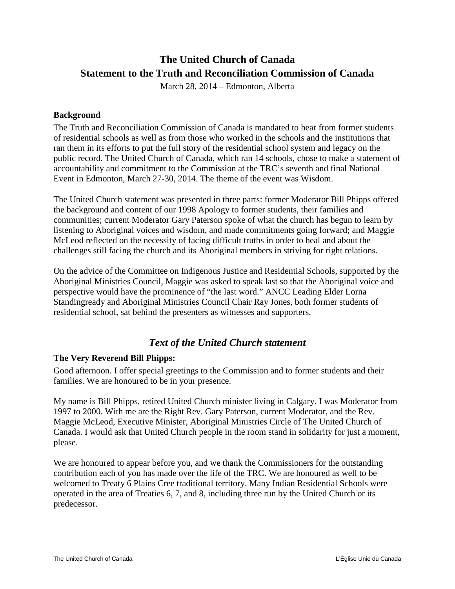# **The United Church of Canada Statement to the Truth and Reconciliation Commission of Canada**

March 28, 2014 – Edmonton, Alberta

#### **Background**

The Truth and Reconciliation Commission of Canada is mandated to hear from former students of residential schools as well as from those who worked in the schools and the institutions that ran them in its efforts to put the full story of the residential school system and legacy on the public record. The United Church of Canada, which ran 14 schools, chose to make a statement of accountability and commitment to the Commission at the TRC's seventh and final National Event in Edmonton, March 27-30, 2014. The theme of the event was Wisdom.

The United Church statement was presented in three parts: former Moderator Bill Phipps offered the background and content of our 1998 Apology to former students, their families and communities; current Moderator Gary Paterson spoke of what the church has begun to learn by listening to Aboriginal voices and wisdom, and made commitments going forward; and Maggie McLeod reflected on the necessity of facing difficult truths in order to heal and about the challenges still facing the church and its Aboriginal members in striving for right relations.

On the advice of the Committee on Indigenous Justice and Residential Schools, supported by the Aboriginal Ministries Council, Maggie was asked to speak last so that the Aboriginal voice and perspective would have the prominence of "the last word." ANCC Leading Elder Lorna Standingready and Aboriginal Ministries Council Chair Ray Jones, both former students of residential school, sat behind the presenters as witnesses and supporters.

## *Text of the United Church statement*

#### **The Very Reverend Bill Phipps:**

Good afternoon. I offer special greetings to the Commission and to former students and their families. We are honoured to be in your presence.

My name is Bill Phipps, retired United Church minister living in Calgary. I was Moderator from 1997 to 2000. With me are the Right Rev. Gary Paterson, current Moderator, and the Rev. Maggie McLeod, Executive Minister, Aboriginal Ministries Circle of The United Church of Canada. I would ask that United Church people in the room stand in solidarity for just a moment, please.

We are honoured to appear before you, and we thank the Commissioners for the outstanding contribution each of you has made over the life of the TRC. We are honoured as well to be welcomed to Treaty 6 Plains Cree traditional territory. Many Indian Residential Schools were operated in the area of Treaties 6, 7, and 8, including three run by the United Church or its predecessor.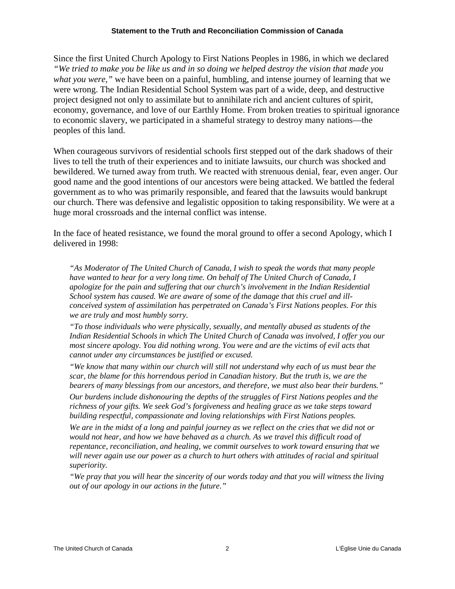#### **Statement to the Truth and Reconciliation Commission of Canada**

Since the first United Church Apology to First Nations Peoples in 1986, in which we declared *"We tried to make you be like us and in so doing we helped destroy the vision that made you what you were,"* we have been on a painful, humbling, and intense journey of learning that we were wrong. The Indian Residential School System was part of a wide, deep, and destructive project designed not only to assimilate but to annihilate rich and ancient cultures of spirit, economy, governance, and love of our Earthly Home. From broken treaties to spiritual ignorance to economic slavery, we participated in a shameful strategy to destroy many nations—the peoples of this land.

When courageous survivors of residential schools first stepped out of the dark shadows of their lives to tell the truth of their experiences and to initiate lawsuits, our church was shocked and bewildered. We turned away from truth. We reacted with strenuous denial, fear, even anger. Our good name and the good intentions of our ancestors were being attacked. We battled the federal government as to who was primarily responsible, and feared that the lawsuits would bankrupt our church. There was defensive and legalistic opposition to taking responsibility. We were at a huge moral crossroads and the internal conflict was intense.

In the face of heated resistance, we found the moral ground to offer a second Apology, which I delivered in 1998:

*"As Moderator of The United Church of Canada, I wish to speak the words that many people have wanted to hear for a very long time. On behalf of The United Church of Canada, I apologize for the pain and suffering that our church's involvement in the Indian Residential School system has caused. We are aware of some of the damage that this cruel and illconceived system of assimilation has perpetrated on Canada's First Nations peoples. For this we are truly and most humbly sorry.*

*"To those individuals who were physically, sexually, and mentally abused as students of the Indian Residential Schools in which The United Church of Canada was involved, I offer you our most sincere apology. You did nothing wrong. You were and are the victims of evil acts that cannot under any circumstances be justified or excused.*

*"We know that many within our church will still not understand why each of us must bear the scar, the blame for this horrendous period in Canadian history. But the truth is, we are the bearers of many blessings from our ancestors, and therefore, we must also bear their burdens." Our burdens include dishonouring the depths of the struggles of First Nations peoples and the richness of your gifts. We seek God's forgiveness and healing grace as we take steps toward* 

*building respectful, compassionate and loving relationships with First Nations peoples.*

*We are in the midst of a long and painful journey as we reflect on the cries that we did not or would not hear, and how we have behaved as a church. As we travel this difficult road of repentance, reconciliation, and healing, we commit ourselves to work toward ensuring that we*  will never again use our power as a church to hurt others with attitudes of racial and spiritual *superiority.*

*"We pray that you will hear the sincerity of our words today and that you will witness the living out of our apology in our actions in the future."*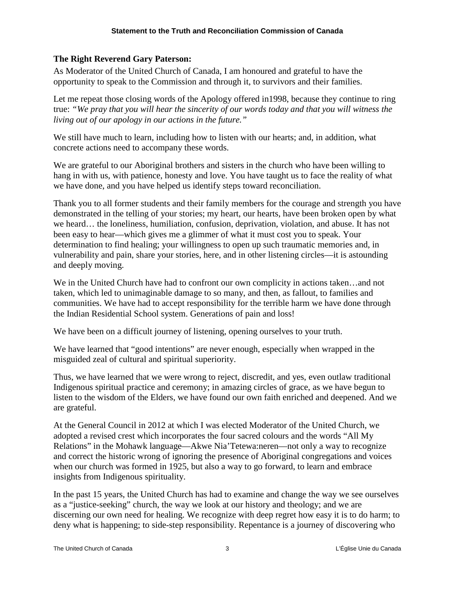### **The Right Reverend Gary Paterson:**

As Moderator of the United Church of Canada, I am honoured and grateful to have the opportunity to speak to the Commission and through it, to survivors and their families.

Let me repeat those closing words of the Apology offered in1998, because they continue to ring true: *"We pray that you will hear the sincerity of our words today and that you will witness the living out of our apology in our actions in the future."*

We still have much to learn, including how to listen with our hearts; and, in addition, what concrete actions need to accompany these words.

We are grateful to our Aboriginal brothers and sisters in the church who have been willing to hang in with us, with patience, honesty and love. You have taught us to face the reality of what we have done, and you have helped us identify steps toward reconciliation.

Thank you to all former students and their family members for the courage and strength you have demonstrated in the telling of your stories; my heart, our hearts, have been broken open by what we heard… the loneliness, humiliation, confusion, deprivation, violation, and abuse. It has not been easy to hear—which gives me a glimmer of what it must cost you to speak. Your determination to find healing; your willingness to open up such traumatic memories and, in vulnerability and pain, share your stories, here, and in other listening circles—it is astounding and deeply moving.

We in the United Church have had to confront our own complicity in actions taken...and not taken, which led to unimaginable damage to so many, and then, as fallout, to families and communities. We have had to accept responsibility for the terrible harm we have done through the Indian Residential School system. Generations of pain and loss!

We have been on a difficult journey of listening, opening ourselves to your truth.

We have learned that "good intentions" are never enough, especially when wrapped in the misguided zeal of cultural and spiritual superiority.

Thus, we have learned that we were wrong to reject, discredit, and yes, even outlaw traditional Indigenous spiritual practice and ceremony; in amazing circles of grace, as we have begun to listen to the wisdom of the Elders, we have found our own faith enriched and deepened. And we are grateful.

At the General Council in 2012 at which I was elected Moderator of the United Church, we adopted a revised crest which incorporates the four sacred colours and the words "All My Relations" in the Mohawk language—Akwe Nia'Tetewa:neren—not only a way to recognize and correct the historic wrong of ignoring the presence of Aboriginal congregations and voices when our church was formed in 1925, but also a way to go forward, to learn and embrace insights from Indigenous spirituality.

In the past 15 years, the United Church has had to examine and change the way we see ourselves as a "justice-seeking" church, the way we look at our history and theology; and we are discerning our own need for healing. We recognize with deep regret how easy it is to do harm; to deny what is happening; to side-step responsibility. Repentance is a journey of discovering who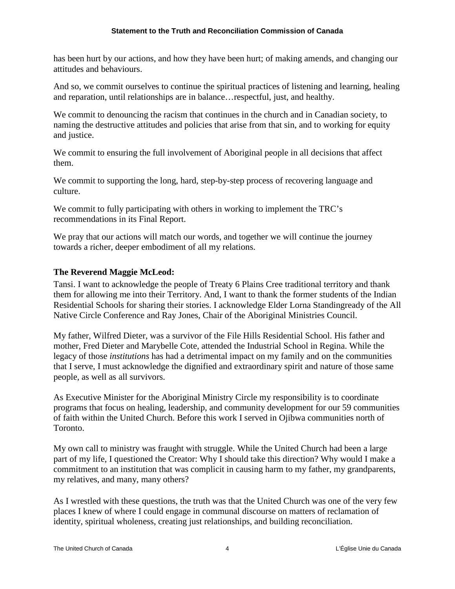has been hurt by our actions, and how they have been hurt; of making amends, and changing our attitudes and behaviours.

And so, we commit ourselves to continue the spiritual practices of listening and learning, healing and reparation, until relationships are in balance…respectful, just, and healthy.

We commit to denouncing the racism that continues in the church and in Canadian society, to naming the destructive attitudes and policies that arise from that sin, and to working for equity and justice.

We commit to ensuring the full involvement of Aboriginal people in all decisions that affect them.

We commit to supporting the long, hard, step-by-step process of recovering language and culture.

We commit to fully participating with others in working to implement the TRC's recommendations in its Final Report.

We pray that our actions will match our words, and together we will continue the journey towards a richer, deeper embodiment of all my relations.

### **The Reverend Maggie McLeod:**

Tansi. I want to acknowledge the people of Treaty 6 Plains Cree traditional territory and thank them for allowing me into their Territory. And, I want to thank the former students of the Indian Residential Schools for sharing their stories. I acknowledge Elder Lorna Standingready of the All Native Circle Conference and Ray Jones, Chair of the Aboriginal Ministries Council.

My father, Wilfred Dieter, was a survivor of the File Hills Residential School. His father and mother, Fred Dieter and Marybelle Cote, attended the Industrial School in Regina. While the legacy of those *institutions* has had a detrimental impact on my family and on the communities that I serve, I must acknowledge the dignified and extraordinary spirit and nature of those same people, as well as all survivors.

As Executive Minister for the Aboriginal Ministry Circle my responsibility is to coordinate programs that focus on healing, leadership, and community development for our 59 communities of faith within the United Church. Before this work I served in Ojibwa communities north of Toronto.

My own call to ministry was fraught with struggle. While the United Church had been a large part of my life, I questioned the Creator: Why I should take this direction? Why would I make a commitment to an institution that was complicit in causing harm to my father, my grandparents, my relatives, and many, many others?

As I wrestled with these questions, the truth was that the United Church was one of the very few places I knew of where I could engage in communal discourse on matters of reclamation of identity, spiritual wholeness, creating just relationships, and building reconciliation.